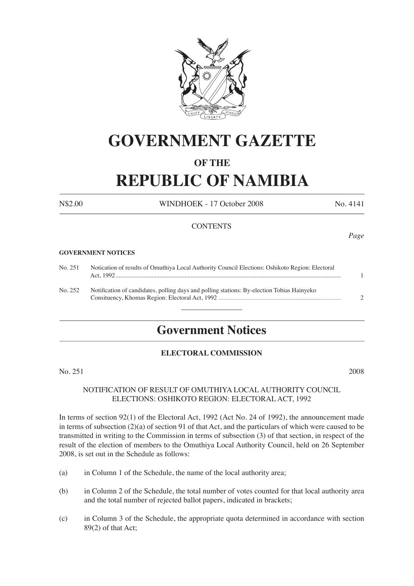

# **GOVERNMENT GAZETTE**

### **OF THE**

# **REPUBLIC OF NAMIBIA**

N\$2.00 WINDHOEK - 17 October 2008 No. 4141

#### **CONTENTS**

#### **GOVERNMENT NOTICES**

| No. 251 | Notication of results of Omuthiya Local Authority Council Elections: Oshikoto Region: Electoral |               |  |  |  |  |
|---------|-------------------------------------------------------------------------------------------------|---------------|--|--|--|--|
| No. 252 | Notification of candidates, polling days and polling stations: By-election Tobias Hainyeko      | $\mathcal{D}$ |  |  |  |  |
|         |                                                                                                 |               |  |  |  |  |

## **Government Notices**

#### **ELECTORAL COMMISSION**

No. 251 2008

#### NOTIFICATION OF RESULT OF OMUTHIYA LOCAL AUTHORITY COUNCIL ELECTIONS: OSHIKOTO REGION: ELECTORAL ACT, 1992

In terms of section 92(1) of the Electoral Act, 1992 (Act No. 24 of 1992), the announcement made in terms of subsection (2)(a) of section 91 of that Act, and the particulars of which were caused to be transmitted in writing to the Commission in terms of subsection (3) of that section, in respect of the result of the election of members to the Omuthiya Local Authority Council, held on 26 September 2008, is set out in the Schedule as follows:

- (a) in Column 1 of the Schedule, the name of the local authority area;
- (b) in Column 2 of the Schedule, the total number of votes counted for that local authority area and the total number of rejected ballot papers, indicated in brackets;
- (c) in Column 3 of the Schedule, the appropriate quota determined in accordance with section 89(2) of that Act;

*Page*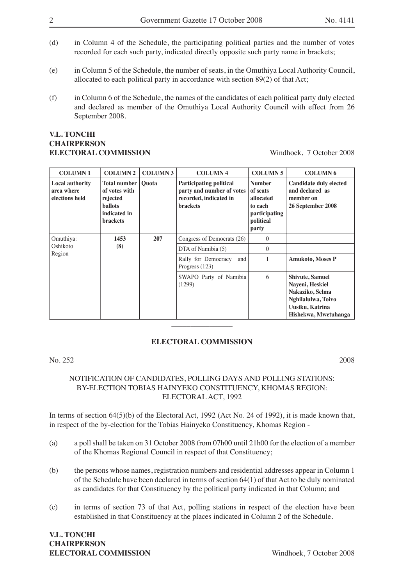- (d) in Column 4 of the Schedule, the participating political parties and the number of votes recorded for each such party, indicated directly opposite such party name in brackets;
- (e) in Column 5 of the Schedule, the number of seats, in the Omuthiya Local Authority Council, allocated to each political party in accordance with section 89(2) of that Act;
- (f) in Column 6 of the Schedule, the names of the candidates of each political party duly elected and declared as member of the Omuthiya Local Authority Council with effect from 26 September 2008.

#### **V.L. TONCHI CHAIRPERSON ELECTORAL COMMISSION** Windhoek, 7 October 2008

| <b>COLUMN1</b>                                         | <b>COLUMN 2</b>                                                                                       | <b>COLUMN 3</b> | <b>COLUMN 4</b>                                                                                          | <b>COLUMN 5</b>                                                                                 | <b>COLUMN 6</b>                                                                                                               |
|--------------------------------------------------------|-------------------------------------------------------------------------------------------------------|-----------------|----------------------------------------------------------------------------------------------------------|-------------------------------------------------------------------------------------------------|-------------------------------------------------------------------------------------------------------------------------------|
| <b>Local authority</b><br>area where<br>elections held | <b>Total number</b><br>of votes with<br>rejected<br><b>ballots</b><br>indicated in<br><b>brackets</b> | <b>Ouota</b>    | <b>Participating political</b><br>party and number of votes<br>recorded, indicated in<br><b>brackets</b> | <b>Number</b><br>of seats<br>allocated<br>to each<br><i>participating</i><br>political<br>party | <b>Candidate duly elected</b><br>and declared as<br>member on<br>26 September 2008                                            |
| Omuthiya:                                              | 1453                                                                                                  | 207             | Congress of Democrats (26)                                                                               | $\Omega$                                                                                        |                                                                                                                               |
| Oshikoto<br>Region                                     | (8)                                                                                                   |                 | DTA of Namibia (5)                                                                                       | $\Omega$                                                                                        |                                                                                                                               |
|                                                        |                                                                                                       |                 | Rally for Democracy<br>and<br>Progress $(123)$                                                           |                                                                                                 | <b>Amukoto, Moses P</b>                                                                                                       |
|                                                        |                                                                                                       |                 | SWAPO Party of Namibia<br>(1299)                                                                         | 6                                                                                               | <b>Shivute, Samuel</b><br>Nayeni, Heskiel<br>Nakaziko, Selma<br>Nghilalulwa, Toivo<br>Uusiku, Katrina<br>Hishekwa, Mwetuhanga |

#### **ELECTORAL COMMISSION**

No. 252 2008

#### NOTIFICATION OF CANDIDATES, POLLING DAYS AND POLLING STATIONS: BY-ELECTION TOBIAS HAINYEKO CONSTITUENCY, KHOMAS REGION: ELECTORAL ACT, 1992

In terms of section 64(5)(b) of the Electoral Act, 1992 (Act No. 24 of 1992), it is made known that, in respect of the by-election for the Tobias Hainyeko Constituency, Khomas Region -

- (a) a poll shall be taken on 31 October 2008 from 07h00 until 21h00 for the election of a member of the Khomas Regional Council in respect of that Constituency;
- (b) the persons whose names, registration numbers and residential addresses appear in Column 1 of the Schedule have been declared in terms of section 64(1) of that Act to be duly nominated as candidates for that Constituency by the political party indicated in that Column; and
- (c) in terms of section 73 of that Act, polling stations in respect of the election have been established in that Constituency at the places indicated in Column 2 of the Schedule.

**V.L. TONCHI CHAIRPERSON ELECTORAL COMMISSION** Windhoek, 7 October 2008